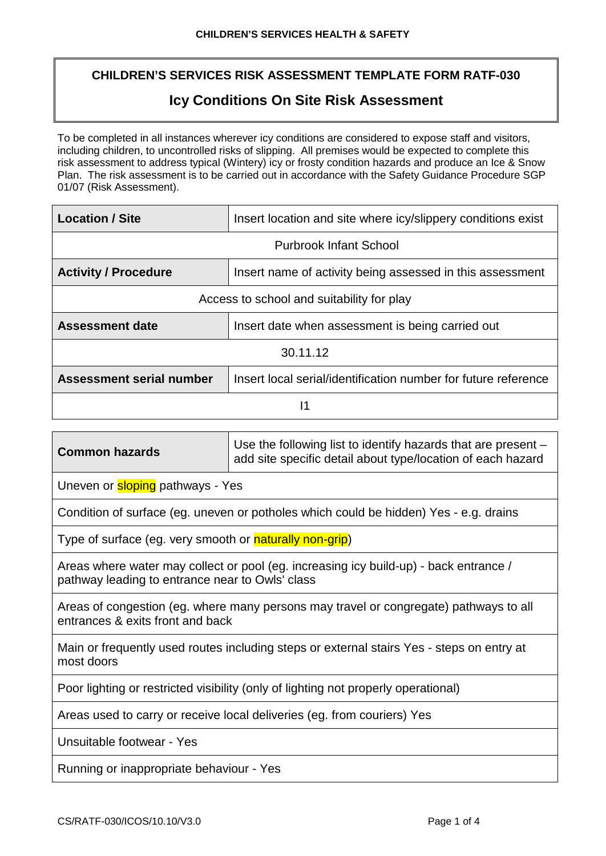## **CHILDREN'S SERVICES RISK ASSESSMENT TEMPLATE FORM RATF-030**

## **Icy Conditions On Site Risk Assessment**

To be completed in all instances wherever icy conditions are considered to expose staff and visitors, including children, to uncontrolled risks of slipping. All premises would be expected to complete this risk assessment to address typical (Wintery) icy or frosty condition hazards and produce an Ice & Snow Plan. The risk assessment is to be carried out in accordance with the Safety Guidance Procedure SGP 01/07 (Risk Assessment).

| Location / Site                                                                            | Insert location and site where icy/slippery conditions exist |  |  |
|--------------------------------------------------------------------------------------------|--------------------------------------------------------------|--|--|
| Purbrook Infant School                                                                     |                                                              |  |  |
| <b>Activity / Procedure</b>                                                                | Insert name of activity being assessed in this assessment    |  |  |
| Access to school and suitability for play                                                  |                                                              |  |  |
| <b>Assessment date</b>                                                                     | Insert date when assessment is being carried out             |  |  |
| 30.11.12                                                                                   |                                                              |  |  |
| Assessment serial number<br>Insert local serial/identification number for future reference |                                                              |  |  |
|                                                                                            |                                                              |  |  |

| <b>Common hazards</b>                                                                                                                    | Use the following list to identify hazards that are present -<br>add site specific detail about type/location of each hazard |  |
|------------------------------------------------------------------------------------------------------------------------------------------|------------------------------------------------------------------------------------------------------------------------------|--|
| Uneven or <b>sloping</b> pathways - Yes                                                                                                  |                                                                                                                              |  |
|                                                                                                                                          | Condition of surface (eg. uneven or potholes which could be hidden) Yes - e.g. drains                                        |  |
| Type of surface (eg. very smooth or naturally non-grip)                                                                                  |                                                                                                                              |  |
| Areas where water may collect or pool (eg. increasing icy build-up) - back entrance /<br>pathway leading to entrance near to Owls' class |                                                                                                                              |  |
| Areas of congestion (eg. where many persons may travel or congregate) pathways to all<br>entrances & exits front and back                |                                                                                                                              |  |
| Main or frequently used routes including steps or external stairs Yes - steps on entry at<br>most doors                                  |                                                                                                                              |  |
| Poor lighting or restricted visibility (only of lighting not properly operational)                                                       |                                                                                                                              |  |
| Areas used to carry or receive local deliveries (eg. from couriers) Yes                                                                  |                                                                                                                              |  |

Unsuitable footwear - Yes

Running or inappropriate behaviour - Yes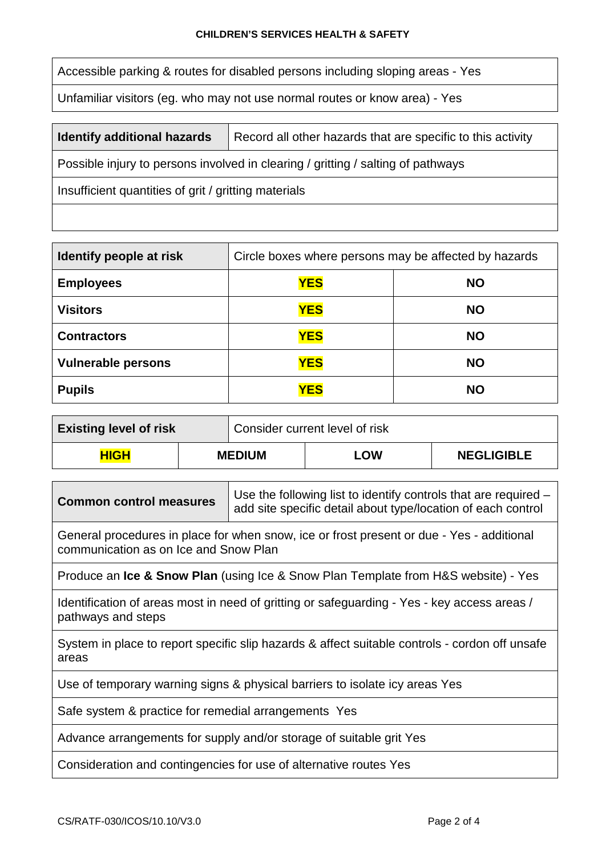## **CHILDREN'S SERVICES HEALTH & SAFETY**

Accessible parking & routes for disabled persons including sloping areas - Yes

Unfamiliar visitors (eg. who may not use normal routes or know area) - Yes

| <b>Identify additional hazards</b>                                               | Record all other hazards that are specific to this activity |  |
|----------------------------------------------------------------------------------|-------------------------------------------------------------|--|
| Possible injury to persons involved in clearing / gritting / salting of pathways |                                                             |  |
| Insufficient quantities of grit / gritting materials                             |                                                             |  |
|                                                                                  |                                                             |  |

| Identify people at risk   | Circle boxes where persons may be affected by hazards |           |
|---------------------------|-------------------------------------------------------|-----------|
| <b>Employees</b>          | <b>YES</b>                                            | <b>NO</b> |
| <b>Visitors</b>           | <b>YES</b>                                            | <b>NO</b> |
| <b>Contractors</b>        | <b>YES</b>                                            | <b>NO</b> |
| <b>Vulnerable persons</b> | <b>YES</b>                                            | <b>NO</b> |
| <b>Pupils</b>             | <b>YES</b>                                            | <b>NO</b> |

| <b>Existing level of risk</b> |               | Consider current level of risk |     |                   |
|-------------------------------|---------------|--------------------------------|-----|-------------------|
| <b>HIGH</b>                   | <b>MEDIUM</b> |                                | ∟OW | <b>NEGLIGIBLE</b> |

| <b>Common control measures</b>                                                                                                     | Use the following list to identify controls that are required -<br>add site specific detail about type/location of each control |  |  |
|------------------------------------------------------------------------------------------------------------------------------------|---------------------------------------------------------------------------------------------------------------------------------|--|--|
| General procedures in place for when snow, ice or frost present or due - Yes - additional<br>communication as on Ice and Snow Plan |                                                                                                                                 |  |  |
| Produce an Ice & Snow Plan (using Ice & Snow Plan Template from H&S website) - Yes                                                 |                                                                                                                                 |  |  |
| Identification of areas most in need of gritting or safeguarding - Yes - key access areas /<br>pathways and steps                  |                                                                                                                                 |  |  |
| System in place to report specific slip hazards & affect suitable controls - cordon off unsafe<br>areas                            |                                                                                                                                 |  |  |
| Use of temporary warning signs & physical barriers to isolate icy areas Yes                                                        |                                                                                                                                 |  |  |
| Safe system & practice for remedial arrangements Yes                                                                               |                                                                                                                                 |  |  |
| Advance arrangements for supply and/or storage of suitable grit Yes                                                                |                                                                                                                                 |  |  |
| Consideration and contingencies for use of alternative routes Yes                                                                  |                                                                                                                                 |  |  |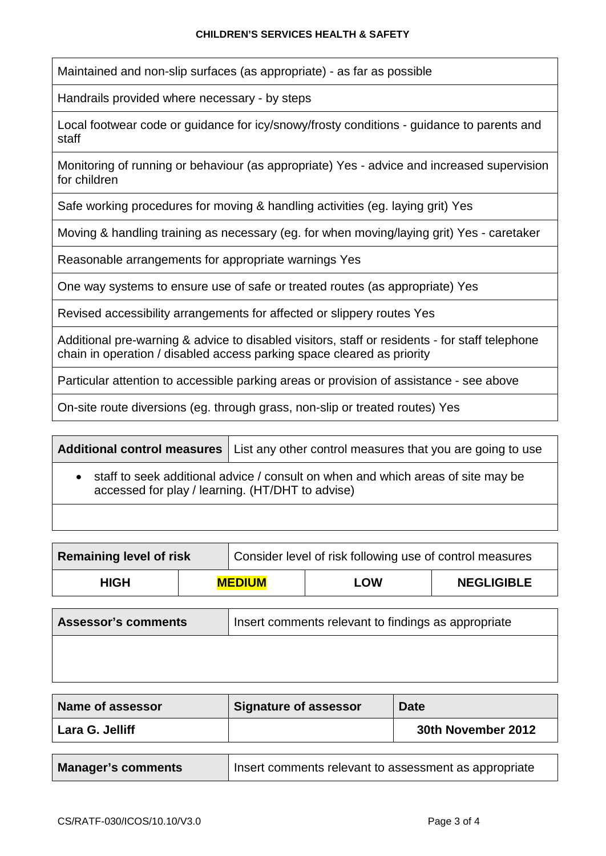Maintained and non-slip surfaces (as appropriate) - as far as possible

Handrails provided where necessary - by steps

Local footwear code or guidance for icy/snowy/frosty conditions - guidance to parents and staff

Monitoring of running or behaviour (as appropriate) Yes - advice and increased supervision for children

Safe working procedures for moving & handling activities (eg. laying grit) Yes

Moving & handling training as necessary (eg. for when moving/laying grit) Yes - caretaker

Reasonable arrangements for appropriate warnings Yes

One way systems to ensure use of safe or treated routes (as appropriate) Yes

Revised accessibility arrangements for affected or slippery routes Yes

Additional pre-warning & advice to disabled visitors, staff or residents - for staff telephone chain in operation / disabled access parking space cleared as priority

Particular attention to accessible parking areas or provision of assistance - see above

On-site route diversions (eg. through grass, non-slip or treated routes) Yes

|                                                                                                                                        | <b>Additional control measures</b>   List any other control measures that you are going to use |  |
|----------------------------------------------------------------------------------------------------------------------------------------|------------------------------------------------------------------------------------------------|--|
| • staff to seek additional advice / consult on when and which areas of site may be<br>accessed for play / learning. (HT/DHT to advise) |                                                                                                |  |
|                                                                                                                                        |                                                                                                |  |

| <b>Remaining level of risk</b> |               |  | Consider level of risk following use of control measures |                   |
|--------------------------------|---------------|--|----------------------------------------------------------|-------------------|
| <b>HIGH</b>                    | <b>MEDIUM</b> |  | <b>LOW</b>                                               | <b>NEGLIGIBLE</b> |
|                                |               |  |                                                          |                   |

| <b>Assessor's comments</b> | Insert comments relevant to findings as appropriate |  |  |
|----------------------------|-----------------------------------------------------|--|--|
|                            |                                                     |  |  |
|                            |                                                     |  |  |

| <b>Name of assessor</b>   | <b>Signature of assessor</b>                          | <b>Date</b>        |
|---------------------------|-------------------------------------------------------|--------------------|
| Lara G. Jelliff           |                                                       | 30th November 2012 |
|                           |                                                       |                    |
| <b>Manager's comments</b> | Insert comments relevant to assessment as appropriate |                    |